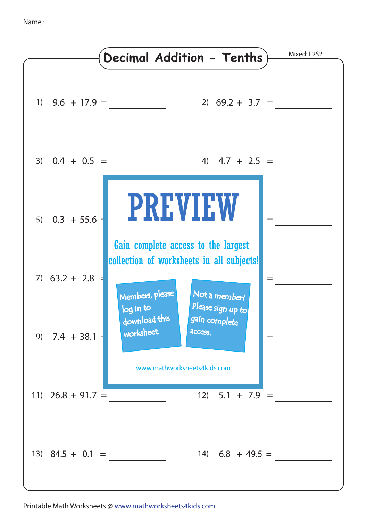